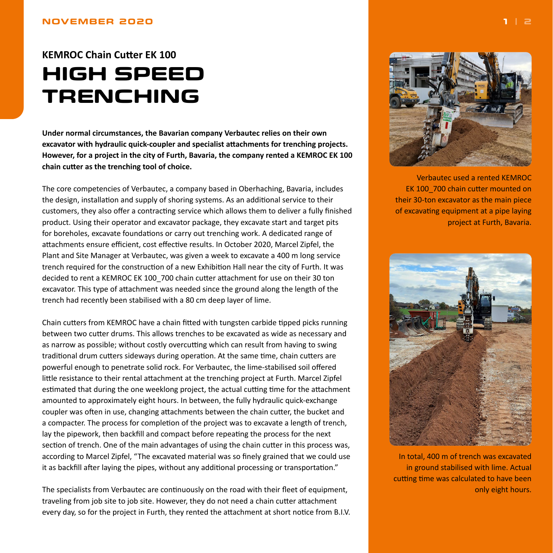## <span id="page-0-0"></span>**NOVEMBER 2020**

## **KEMROC Chain Cutter EK 100 HIGH SPEED TRENCHING**

**Under normal circumstances, the Bavarian company Verbautec relies on their own excavator with hydraulic quick-coupler and specialist attachments for trenching projects. However, for a project in the city of Furth, Bavaria, the company rented a KEMROC EK 100 chain cutter as the trenching tool of choice.**

The core competencies of Verbautec, a company based in Oberhaching, Bavaria, includes the design, installation and supply of shoring systems. As an additional service to their customers, they also offer a contracting service which allows them to deliver a fully finished product. Using their operator and excavator package, they excavate start and target pits for boreholes, excavate foundations or carry out trenching work. A dedicated range of attachments ensure efficient, cost effective results. In October 2020, Marcel Zipfel, the Plant and Site Manager at Verbautec, was given a week to excavate a 400 m long service trench required for the construction of a new Exhibition Hall near the city of Furth. It was decided to rent a KEMROC EK 100\_700 chain cutter attachment for use on their 30 ton excavator. This type of attachment was needed since the ground along the length of the trench had recently been stabilised with a 80 cm deep layer of lime.

Chain cutters from KEMROC have a chain fitted with tungsten carbide tipped picks running between two cutter drums. This allows trenches to be excavated as wide as necessary and as narrow as possible; without costly overcutting which can result from having to swing traditional drum cutters sideways during operation. At the same time, chain cutters are powerful enough to penetrate solid rock. For Verbautec, the lime-stabilised soil offered little resistance to their rental attachment at the trenching project at Furth. Marcel Zipfel estimated that during the one weeklong project, the actual cutting time for the attachment amounted to approximately eight hours. In between, the fully hydraulic quick-exchange coupler was often in use, changing attachments between the chain cutter, the bucket and a compacter. The process for completion of the project was to excavate a length of trench, lay the pipework, then backfill and compact before repeating the process for the next section of trench. One of the main advantages of using the chain cutter in this process was, according to Marcel Zipfel, "The excavated material was so finely grained that we could use it as backfill after laying the pipes, without any additional processing or transportation."

The specialists from Verbautec are continuously on the road with their fleet of equipment, traveling from job site to job site. However, they do not need a chain cutter attachment every day, so for the project in Furth, they rented the attachment at short notice from B.I.V.



Verbautec used a rented KEMROC EK 100\_700 chain cutter mounted on their 30-ton excavator as the main piece of excavating equipment at a pipe laying project at Furth, Bavaria.



In total, 400 m of trench was excavated in ground stabilised with lime. Actual cutting time was calculated to have been only eight hours.